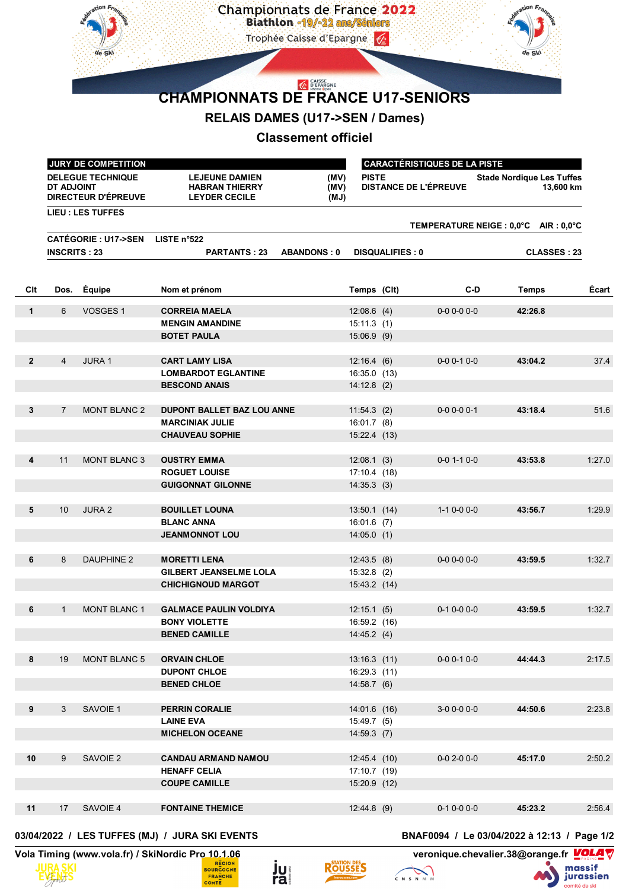

## **RELAIS DAMES (U17->SEN / Dames)**

## **Classement officiel**

|                |                                                               | JURY DE COMPETITION      |                                                                        | <b>CARACTÉRISTIQUES DE LA PISTE</b> |                                              |                                       |                     |                                               |        |
|----------------|---------------------------------------------------------------|--------------------------|------------------------------------------------------------------------|-------------------------------------|----------------------------------------------|---------------------------------------|---------------------|-----------------------------------------------|--------|
|                | <b>DELEGUE TECHNIQUE</b><br>DT ADJOINT<br>DIRECTEUR D'ÉPREUVE |                          | <b>LEJEUNE DAMIEN</b><br><b>HABRAN THIERRY</b><br><b>LEYDER CECILE</b> | (MV)<br>(MV)<br>(MJ)                | <b>PISTE</b><br><b>DISTANCE DE L'ÉPREUVE</b> |                                       |                     | <b>Stade Nordique Les Tuffes</b><br>13,600 km |        |
|                |                                                               | <b>LIEU : LES TUFFES</b> |                                                                        |                                     |                                              |                                       |                     |                                               |        |
|                | <b>CATÉGORIE: U17-&gt;SEN</b><br>LISTE $n^{\circ}522$         |                          |                                                                        |                                     |                                              | TEMPERATURE NEIGE : 0,0°C AIR : 0,0°C |                     |                                               |        |
|                | <b>INSCRITS: 23</b>                                           |                          | <b>PARTANTS: 23</b>                                                    | <b>ABANDONS: 0</b>                  | <b>DISQUALIFIES: 0</b>                       |                                       |                     | <b>CLASSES: 23</b>                            |        |
|                |                                                               |                          |                                                                        |                                     |                                              |                                       |                     |                                               |        |
| CIt            | Dos.                                                          | Équipe                   | Nom et prénom                                                          |                                     | Temps (Clt)                                  |                                       | C-D                 | Temps                                         | Écart  |
| $\mathbf{1}$   | 6                                                             | VOSGES 1                 | <b>CORREIA MAELA</b>                                                   |                                     | $12:08.6$ (4)                                |                                       | $0 - 0 0 - 0 0 - 0$ | 42:26.8                                       |        |
|                |                                                               |                          | <b>MENGIN AMANDINE</b>                                                 |                                     | 15:11.3(1)                                   |                                       |                     |                                               |        |
|                |                                                               |                          | <b>BOTET PAULA</b>                                                     |                                     | $15:06.9$ (9)                                |                                       |                     |                                               |        |
|                |                                                               |                          |                                                                        |                                     |                                              |                                       |                     |                                               |        |
| $\overline{2}$ | $\overline{4}$                                                | <b>JURA1</b>             | <b>CART LAMY LISA</b>                                                  |                                     | 12:16.4(6)                                   |                                       | $0 - 0 0 - 1 0 - 0$ | 43:04.2                                       | 37.4   |
|                |                                                               |                          | <b>LOMBARDOT EGLANTINE</b>                                             |                                     | 16:35.0(13)                                  |                                       |                     |                                               |        |
|                |                                                               |                          | <b>BESCOND ANAIS</b>                                                   |                                     | $14:12.8$ (2)                                |                                       |                     |                                               |        |
| 3              | $\overline{7}$                                                | <b>MONT BLANC 2</b>      | <b>DUPONT BALLET BAZ LOU ANNE</b>                                      |                                     | 11:54.3(2)                                   |                                       | $0 - 0 0 - 0 0 - 1$ | 43:18.4                                       | 51.6   |
|                |                                                               |                          | <b>MARCINIAK JULIE</b>                                                 |                                     | $16:01.7$ (8)                                |                                       |                     |                                               |        |
|                |                                                               |                          | <b>CHAUVEAU SOPHIE</b>                                                 |                                     | 15:22.4 (13)                                 |                                       |                     |                                               |        |
|                |                                                               |                          |                                                                        |                                     |                                              |                                       |                     |                                               |        |
| 4              | 11                                                            | <b>MONT BLANC 3</b>      | <b>OUSTRY EMMA</b>                                                     |                                     | 12:08.1(3)                                   |                                       | $0 - 0 1 - 1 0 - 0$ | 43:53.8                                       | 1:27.0 |
|                |                                                               |                          | <b>ROGUET LOUISE</b>                                                   |                                     | 17:10.4(18)                                  |                                       |                     |                                               |        |
|                |                                                               |                          | <b>GUIGONNAT GILONNE</b>                                               |                                     | 14:35.3(3)                                   |                                       |                     |                                               |        |
|                |                                                               |                          |                                                                        |                                     |                                              |                                       |                     |                                               |        |
| 5              | 10                                                            | <b>JURA 2</b>            | <b>BOUILLET LOUNA</b>                                                  |                                     | 13:50.1(14)                                  |                                       | $1-10-00-0$         | 43:56.7                                       | 1:29.9 |
|                |                                                               |                          | <b>BLANC ANNA</b>                                                      |                                     | $16:01.6$ (7)                                |                                       |                     |                                               |        |
|                |                                                               |                          | <b>JEANMONNOT LOU</b>                                                  |                                     | 14:05.0(1)                                   |                                       |                     |                                               |        |
|                |                                                               |                          |                                                                        |                                     |                                              |                                       |                     |                                               |        |
| 6              | 8                                                             | <b>DAUPHINE 2</b>        | <b>MORETTI LENA</b>                                                    |                                     | 12:43.5(8)                                   |                                       | $0 - 0 0 - 0 0 - 0$ | 43:59.5                                       | 1:32.7 |
|                |                                                               |                          | <b>GILBERT JEANSELME LOLA</b>                                          |                                     | $15:32.8$ (2)                                |                                       |                     |                                               |        |
|                |                                                               |                          | <b>CHICHIGNOUD MARGOT</b>                                              |                                     | 15:43.2 (14)                                 |                                       |                     |                                               |        |
| 6              | $\mathbf{1}$                                                  | <b>MONT BLANC 1</b>      | <b>GALMACE PAULIN VOLDIYA</b>                                          |                                     |                                              |                                       | $0-1$ $0-0$ $0-0$   | 43:59.5                                       | 1:32.7 |
|                |                                                               |                          | <b>BONY VIOLETTE</b>                                                   |                                     | 12:15.1(5)<br>16:59.2 (16)                   |                                       |                     |                                               |        |
|                |                                                               |                          | <b>BENED CAMILLE</b>                                                   |                                     | 14:45.2(4)                                   |                                       |                     |                                               |        |
|                |                                                               |                          |                                                                        |                                     |                                              |                                       |                     |                                               |        |
| 8              | 19                                                            | <b>MONT BLANC 5</b>      | <b>ORVAIN CHLOE</b>                                                    |                                     | 13:16.3(11)                                  |                                       | $0-0$ 0-1 0-0       | 44:44.3                                       | 2:17.5 |
|                |                                                               |                          | <b>DUPONT CHLOE</b>                                                    |                                     | 16:29.3 (11)                                 |                                       |                     |                                               |        |
|                |                                                               |                          | <b>BENED CHLOE</b>                                                     |                                     | 14:58.7(6)                                   |                                       |                     |                                               |        |
|                |                                                               |                          |                                                                        |                                     |                                              |                                       |                     |                                               |        |
| 9              | 3                                                             | SAVOIE 1                 | PERRIN CORALIE                                                         |                                     | 14:01.6 (16)                                 |                                       | $3-00-00-0$         | 44:50.6                                       | 2:23.8 |
|                |                                                               |                          | <b>LAINE EVA</b>                                                       |                                     | 15:49.7(5)                                   |                                       |                     |                                               |        |
|                |                                                               |                          | <b>MICHELON OCEANE</b>                                                 |                                     | 14:59.3(7)                                   |                                       |                     |                                               |        |
|                |                                                               |                          |                                                                        |                                     |                                              |                                       |                     |                                               |        |
| 10             | 9                                                             | SAVOIE 2                 | <b>CANDAU ARMAND NAMOU</b>                                             |                                     | 12:45.4 (10)                                 |                                       | $0-0$ 2-0 $0-0$     | 45:17.0                                       | 2:50.2 |
|                |                                                               |                          | <b>HENAFF CELIA</b>                                                    |                                     | 17:10.7 (19)                                 |                                       |                     |                                               |        |
|                |                                                               |                          | <b>COUPE CAMILLE</b>                                                   |                                     | 15:20.9 (12)                                 |                                       |                     |                                               |        |
| 11             | 17                                                            | SAVOIE 4                 | <b>FONTAINE THEMICE</b>                                                |                                     | 12:44.8(9)                                   |                                       | $0-1$ $0-0$ $0-0$   | 45:23.2                                       | 2:56.4 |
|                |                                                               |                          |                                                                        |                                     |                                              |                                       |                     |                                               |        |

## **03/04/2022 / LES TUFFES (MJ) / JURA SKI EVENTS BNAF0094 / Le 03/04/2022 à 12:13 / Page 1/2**





ju<br>ra